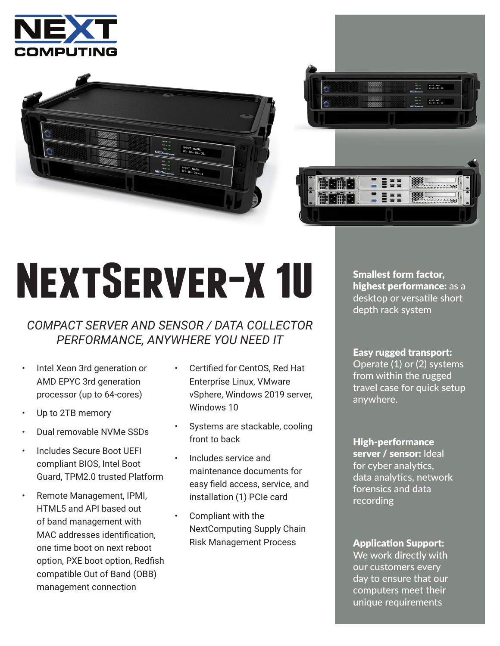





## **NextServer-X 1U**

## *COMPACT SERVER AND SENSOR / DATA COLLECTOR PERFORMANCE, ANYWHERE YOU NEED IT*

- Intel Xeon 3rd generation or AMD EPYC 3rd generation processor (up to 64-cores)
- Up to 2TB memory
- Dual removable NVMe SSDs
- Includes Secure Boot UEFI compliant BIOS, Intel Boot Guard, TPM2.0 trusted Platform
- Remote Management, IPMI, HTML5 and API based out of band management with MAC addresses identification, one time boot on next reboot option, PXE boot option, Redfish compatible Out of Band (OBB) management connection
- Certified for CentOS, Red Hat Enterprise Linux, VMware vSphere, Windows 2019 server, Windows 10
- Systems are stackable, cooling front to back
- Includes service and maintenance documents for easy field access, service, and installation (1) PCIe card
- Compliant with the NextComputing Supply Chain Risk Management Process

Smallest form factor, highest performance: as a desktop or versatile short depth rack system

Easy rugged transport:

Operate (1) or (2) systems from within the rugged travel case for quick setup anywhere.

High-performance server / sensor: Ideal for cyber analytics, data analytics, network forensics and data recording

## Application Support:

We work directly with our customers every day to ensure that our computers meet their unique requirements